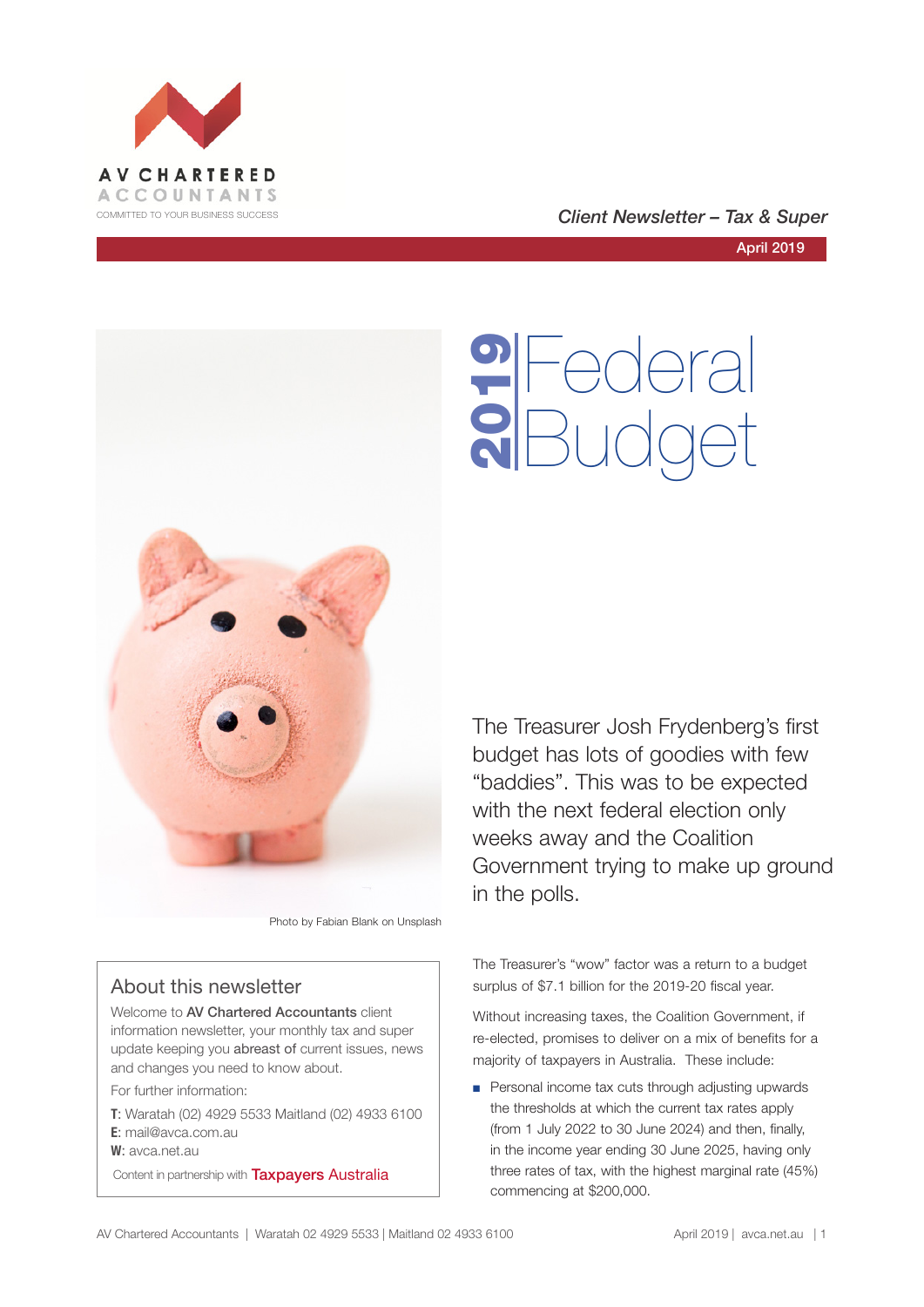



Photo by Fabian Blank on Unsplash

# About this newsletter

Welcome to AV Chartered Accountants client information newsletter, your monthly tax and super update keeping you abreast of current issues, news and changes you need to know about.

For further information:

- **T**: Waratah (02) 4929 5533 Maitland (02) 4933 6100 **E**: mail@avca.com.au
- **W**: avca.net.au

Content in partnership with **Taxpayers Australia** 

COMMITTED TO YOUR BUSINESS SUCCESS **COMMITTED TO YOUR BUSINESS SUCCESS** 

April 2019

Federal **9** Federal<br>**8** Budget

The Treasurer Josh Frydenberg's first budget has lots of goodies with few "baddies". This was to be expected with the next federal election only weeks away and the Coalition Government trying to make up ground in the polls.

The Treasurer's "wow" factor was a return to a budget surplus of \$7.1 billion for the 2019-20 fiscal year.

Without increasing taxes, the Coalition Government, if re-elected, promises to deliver on a mix of benefits for a majority of taxpayers in Australia. These include:

■ Personal income tax cuts through adjusting upwards the thresholds at which the current tax rates apply (from 1 July 2022 to 30 June 2024) and then, finally, in the income year ending 30 June 2025, having only three rates of tax, with the highest marginal rate (45%) commencing at \$200,000.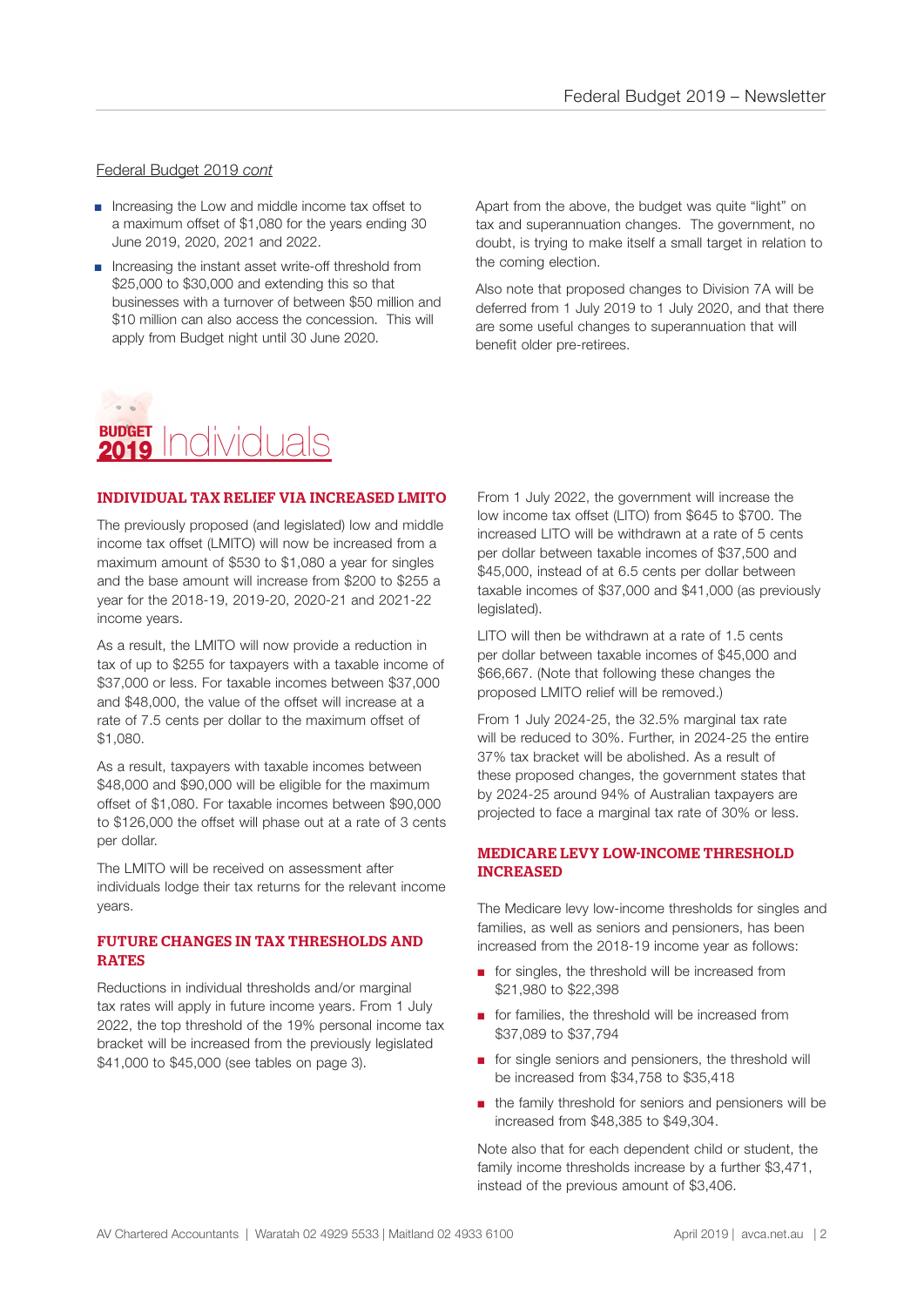## Federal Budget 2019 *cont*

- Increasing the Low and middle income tax offset to a maximum offset of \$1,080 for the years ending 30 June 2019, 2020, 2021 and 2022.
- Increasing the instant asset write-off threshold from \$25,000 to \$30,000 and extending this so that businesses with a turnover of between \$50 million and \$10 million can also access the concession. This will apply from Budget night until 30 June 2020.

Apart from the above, the budget was quite "light" on tax and superannuation changes. The government, no doubt, is trying to make itself a small target in relation to the coming election.

Also note that proposed changes to Division 7A will be deferred from 1 July 2019 to 1 July 2020, and that there are some useful changes to superannuation that will benefit older pre-retirees.

# **BUDGET** Individuals 2019

# INDIVIDUAL TAX RELIEF VIA INCREASED LMITO

The previously proposed (and legislated) low and middle income tax offset (LMITO) will now be increased from a maximum amount of \$530 to \$1,080 a year for singles and the base amount will increase from \$200 to \$255 a year for the 2018-19, 2019-20, 2020-21 and 2021-22 income years.

As a result, the LMITO will now provide a reduction in tax of up to \$255 for taxpayers with a taxable income of \$37,000 or less. For taxable incomes between \$37,000 and \$48,000, the value of the offset will increase at a rate of 7.5 cents per dollar to the maximum offset of \$1,080.

As a result, taxpayers with taxable incomes between \$48,000 and \$90,000 will be eligible for the maximum offset of \$1,080. For taxable incomes between \$90,000 to \$126,000 the offset will phase out at a rate of 3 cents per dollar.

The LMITO will be received on assessment after individuals lodge their tax returns for the relevant income years.

## FUTURE CHANGES IN TAX THRESHOLDS AND RATES

Reductions in individual thresholds and/or marginal tax rates will apply in future income years. From 1 July 2022, the top threshold of the 19% personal income tax bracket will be increased from the previously legislated \$41,000 to \$45,000 (see tables on page 3).

From 1 July 2022, the government will increase the low income tax offset (LITO) from \$645 to \$700. The increased LITO will be withdrawn at a rate of 5 cents per dollar between taxable incomes of \$37,500 and \$45,000, instead of at 6.5 cents per dollar between taxable incomes of \$37,000 and \$41,000 (as previously legislated).

LITO will then be withdrawn at a rate of 1.5 cents per dollar between taxable incomes of \$45,000 and \$66,667. (Note that following these changes the proposed LMITO relief will be removed.)

From 1 July 2024-25, the 32.5% marginal tax rate will be reduced to 30%. Further, in 2024-25 the entire 37% tax bracket will be abolished. As a result of these proposed changes, the government states that by 2024-25 around 94% of Australian taxpayers are projected to face a marginal tax rate of 30% or less.

## MEDICARE LEVY LOW-INCOME THRESHOLD INCREASED

The Medicare levy low-income thresholds for singles and families, as well as seniors and pensioners, has been increased from the 2018-19 income year as follows:

- for singles, the threshold will be increased from \$21,980 to \$22,398
- for families, the threshold will be increased from \$37,089 to \$37,794
- for single seniors and pensioners, the threshold will be increased from \$34,758 to \$35,418
- the family threshold for seniors and pensioners will be increased from \$48,385 to \$49,304.

Note also that for each dependent child or student, the family income thresholds increase by a further \$3,471, instead of the previous amount of \$3,406.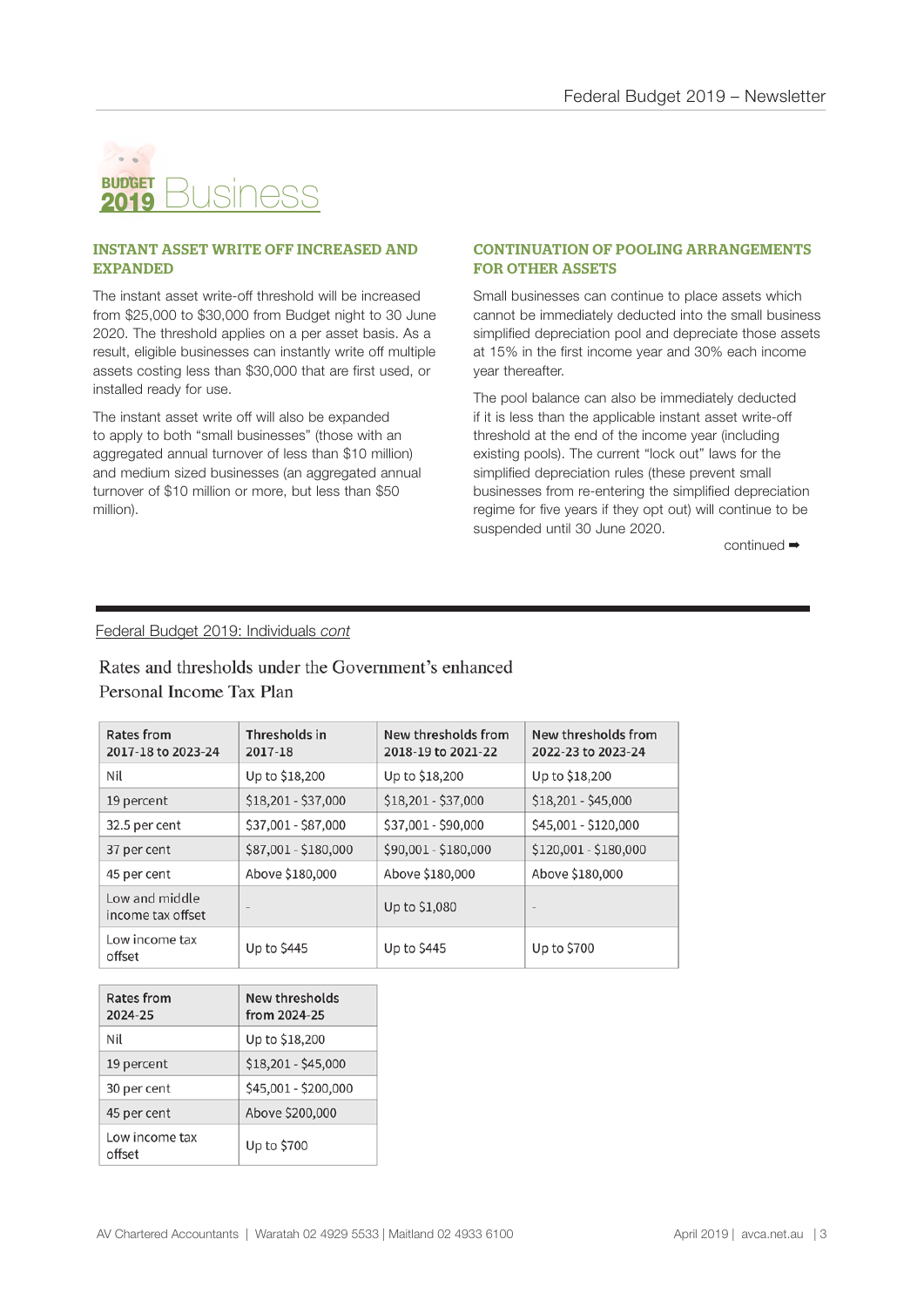

#### INSTANT ASSET WRITE OFF INCREASED AND EXPANDED

The instant asset write-off threshold will be increased from \$25,000 to \$30,000 from Budget night to 30 June 2020. The threshold applies on a per asset basis. As a result, eligible businesses can instantly write off multiple assets costing less than \$30,000 that are first used, or installed ready for use.

The instant asset write off will also be expanded to apply to both "small businesses" (those with an aggregated annual turnover of less than \$10 million) and medium sized businesses (an aggregated annual turnover of \$10 million or more, but less than \$50 million).

#### CONTINUATION OF POOLING ARRANGEMENTS FOR OTHER ASSETS

Small businesses can continue to place assets which cannot be immediately deducted into the small business simplified depreciation pool and depreciate those assets at 15% in the first income year and 30% each income year thereafter.

The pool balance can also be immediately deducted if it is less than the applicable instant asset write-off threshold at the end of the income year (including existing pools). The current "lock out" laws for the simplified depreciation rules (these prevent small businesses from re-entering the simplified depreciation regime for five years if they opt out) will continue to be suspended until 30 June 2020.

continued ➡

## Federal Budget 2019: Individuals *cont*

# Rates and thresholds under the Government's enhanced Personal Income Tax Plan

| <b>Rates from</b><br>2017-18 to 2023-24 | Thresholds in<br>2017-18 | New thresholds from<br>2018-19 to 2021-22 | New thresholds from<br>2022-23 to 2023-24 |
|-----------------------------------------|--------------------------|-------------------------------------------|-------------------------------------------|
| Nil                                     | Up to \$18,200           | Up to \$18,200                            | Up to \$18,200                            |
| 19 percent                              | $$18,201 - $37,000$      | $$18,201 - $37,000$                       | \$18,201 - \$45,000                       |
| 32.5 per cent                           | \$37,001 - \$87,000      | \$37,001 - \$90,000                       | \$45,001 - \$120,000                      |
| 37 per cent                             | \$87,001 - \$180,000     | \$90,001 - \$180,000                      | \$120,001 - \$180,000                     |
| 45 per cent                             | Above \$180,000          | Above \$180,000                           | Above \$180,000                           |
| Low and middle<br>income tax offset     | $\qquad \qquad$          | Up to \$1,080                             | $\qquad \qquad$                           |
| Low income tax<br>offset                | Up to \$445              | Up to \$445                               | Up to \$700                               |

| Rates from<br>2024-25    | New thresholds<br>from 2024-25 |  |
|--------------------------|--------------------------------|--|
| Nil                      | Up to \$18,200                 |  |
| 19 percent               | $$18,201 - $45,000$            |  |
| 30 per cent              | \$45,001 - \$200,000           |  |
| 45 per cent              | Above \$200,000                |  |
| Low income tax<br>offset | Up to \$700                    |  |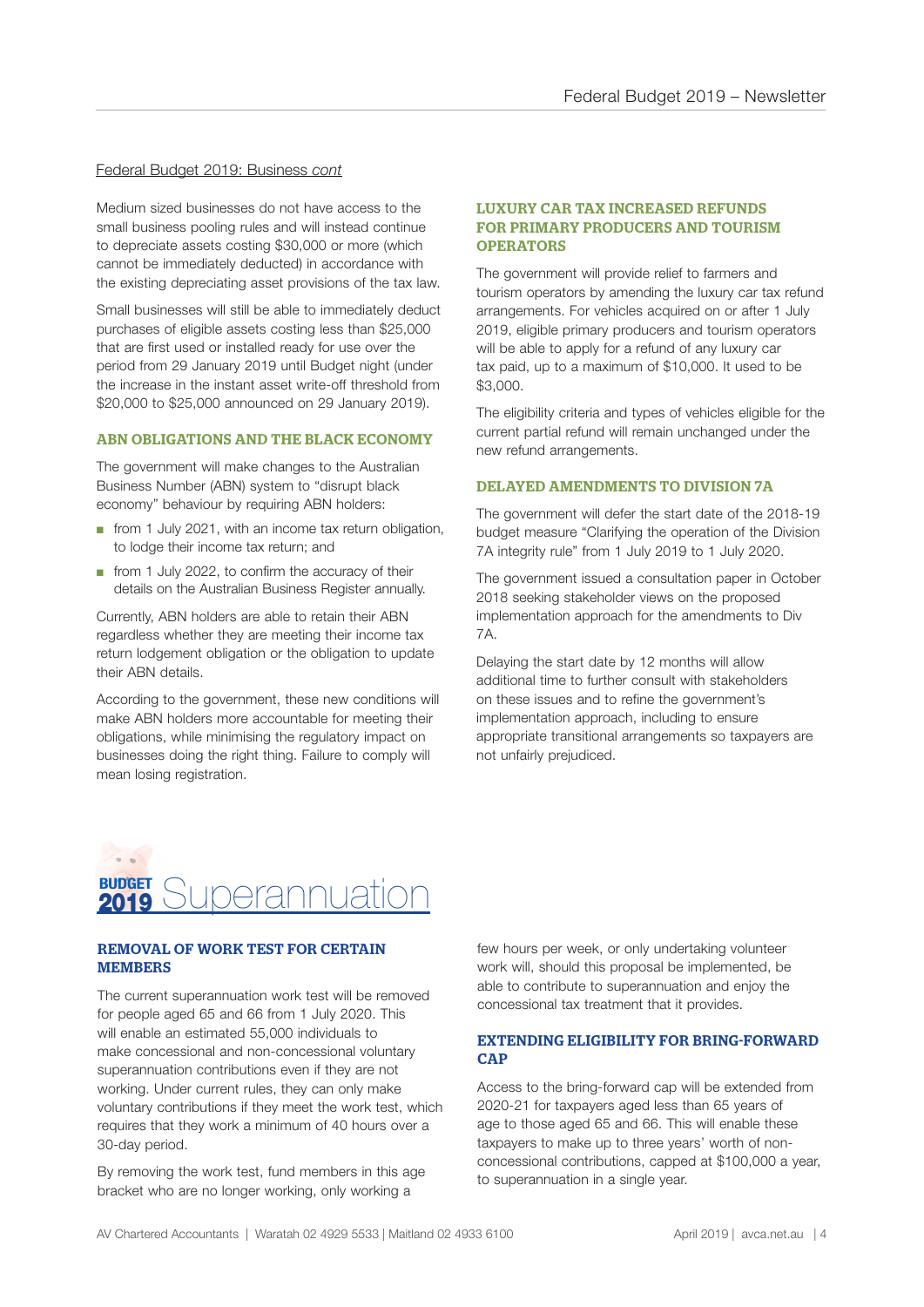#### Federal Budget 2019: Business *cont*

Medium sized businesses do not have access to the small business pooling rules and will instead continue to depreciate assets costing \$30,000 or more (which cannot be immediately deducted) in accordance with the existing depreciating asset provisions of the tax law.

Small businesses will still be able to immediately deduct purchases of eligible assets costing less than \$25,000 that are first used or installed ready for use over the period from 29 January 2019 until Budget night (under the increase in the instant asset write-off threshold from \$20,000 to \$25,000 announced on 29 January 2019).

#### ABN OBLIGATIONS AND THE BLACK ECONOMY

The government will make changes to the Australian Business Number (ABN) system to "disrupt black economy" behaviour by requiring ABN holders:

- from 1 July 2021, with an income tax return obligation, to lodge their income tax return; and
- from 1 July 2022, to confirm the accuracy of their details on the Australian Business Register annually.

Currently, ABN holders are able to retain their ABN regardless whether they are meeting their income tax return lodgement obligation or the obligation to update their ABN details.

According to the government, these new conditions will make ABN holders more accountable for meeting their obligations, while minimising the regulatory impact on businesses doing the right thing. Failure to comply will mean losing registration.

#### LUXURY CAR TAX INCREASED REFUNDS FOR PRIMARY PRODUCERS AND TOURISM **OPERATORS**

The government will provide relief to farmers and tourism operators by amending the luxury car tax refund arrangements. For vehicles acquired on or after 1 July 2019, eligible primary producers and tourism operators will be able to apply for a refund of any luxury car tax paid, up to a maximum of \$10,000. It used to be \$3,000.

The eligibility criteria and types of vehicles eligible for the current partial refund will remain unchanged under the new refund arrangements.

#### DELAYED AMENDMENTS TO DIVISION 7A

The government will defer the start date of the 2018-19 budget measure "Clarifying the operation of the Division 7A integrity rule" from 1 July 2019 to 1 July 2020.

The government issued a consultation paper in October 2018 seeking stakeholder views on the proposed implementation approach for the amendments to Div 7A.

Delaying the start date by 12 months will allow additional time to further consult with stakeholders on these issues and to refine the government's implementation approach, including to ensure appropriate transitional arrangements so taxpayers are not unfairly prejudiced.



#### REMOVAL OF WORK TEST FOR CERTAIN **MEMBERS**

The current superannuation work test will be removed for people aged 65 and 66 from 1 July 2020. This will enable an estimated 55,000 individuals to make concessional and non-concessional voluntary superannuation contributions even if they are not working. Under current rules, they can only make voluntary contributions if they meet the work test, which requires that they work a minimum of 40 hours over a 30-day period.

By removing the work test, fund members in this age bracket who are no longer working, only working a

few hours per week, or only undertaking volunteer work will, should this proposal be implemented, be able to contribute to superannuation and enjoy the concessional tax treatment that it provides.

#### EXTENDING ELIGIBILITY FOR BRING-FORWARD **CAP**

Access to the bring-forward cap will be extended from 2020-21 for taxpayers aged less than 65 years of age to those aged 65 and 66. This will enable these taxpayers to make up to three years' worth of nonconcessional contributions, capped at \$100,000 a year, to superannuation in a single year.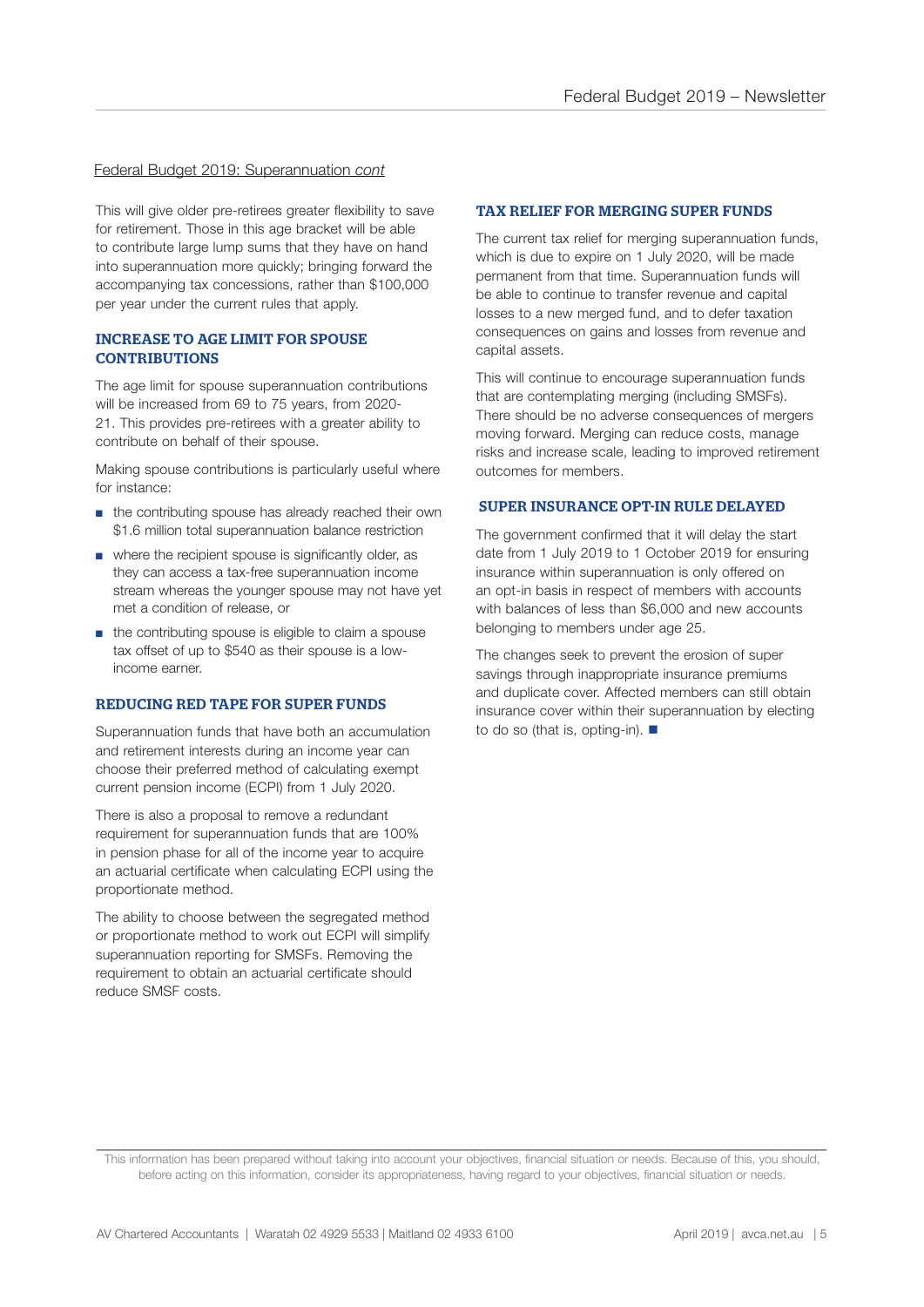#### Federal Budget 2019: Superannuation *cont*

This will give older pre-retirees greater flexibility to save for retirement. Those in this age bracket will be able to contribute large lump sums that they have on hand into superannuation more quickly; bringing forward the accompanying tax concessions, rather than \$100,000 per year under the current rules that apply.

#### INCREASE TO AGE LIMIT FOR SPOUSE **CONTRIBUTIONS**

The age limit for spouse superannuation contributions will be increased from 69 to 75 years, from 2020- 21. This provides pre-retirees with a greater ability to contribute on behalf of their spouse.

Making spouse contributions is particularly useful where for instance:

- the contributing spouse has already reached their own \$1.6 million total superannuation balance restriction
- where the recipient spouse is significantly older, as they can access a tax-free superannuation income stream whereas the younger spouse may not have yet met a condition of release, or
- the contributing spouse is eligible to claim a spouse tax offset of up to \$540 as their spouse is a lowincome earner.

#### REDUCING RED TAPE FOR SUPER FUNDS

Superannuation funds that have both an accumulation and retirement interests during an income year can choose their preferred method of calculating exempt current pension income (ECPI) from 1 July 2020.

There is also a proposal to remove a redundant requirement for superannuation funds that are 100% in pension phase for all of the income year to acquire an actuarial certificate when calculating ECPI using the proportionate method.

The ability to choose between the segregated method or proportionate method to work out ECPI will simplify superannuation reporting for SMSFs. Removing the requirement to obtain an actuarial certificate should reduce SMSF costs.

#### TAX RELIEF FOR MERGING SUPER FUNDS

The current tax relief for merging superannuation funds, which is due to expire on 1 July 2020, will be made permanent from that time. Superannuation funds will be able to continue to transfer revenue and capital losses to a new merged fund, and to defer taxation consequences on gains and losses from revenue and capital assets.

This will continue to encourage superannuation funds that are contemplating merging (including SMSFs). There should be no adverse consequences of mergers moving forward. Merging can reduce costs, manage risks and increase scale, leading to improved retirement outcomes for members.

#### SUPER INSURANCE OPT-IN RULE DELAYED

The government confirmed that it will delay the start date from 1 July 2019 to 1 October 2019 for ensuring insurance within superannuation is only offered on an opt-in basis in respect of members with accounts with balances of less than \$6,000 and new accounts belonging to members under age 25.

The changes seek to prevent the erosion of super savings through inappropriate insurance premiums and duplicate cover. Affected members can still obtain insurance cover within their superannuation by electing to do so (that is, opting-in).  $\blacksquare$ 

This information has been prepared without taking into account your objectives, financial situation or needs. Because of this, you should, before acting on this information, consider its appropriateness, having regard to your objectives, financial situation or needs.